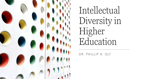

Intellectual Diversity in Higher Education

DR. PHILLIP A. OLT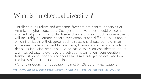"Intellectual pluralism and academic freedom are central principles of American higher education… Colleges and universities should welcome intellectual pluralism and the free exchange of ideas. Such a commitment will inevitably encourage debate over complex and difficult issues about which individuals will disagree. Such discussions should be held in an environment characterized by openness, tolerance and civility… Academic decisions including grades should be based solely on considerations that are intellectually relevant to the subject matter under consideration. Neither students nor faculty should be disadvantaged or evaluated on the basis of their political opinions."

(American Council on Education, joined by 28 other organizations)

<https://www.acenet.edu/Documents/Statement-on-Academic-Rights-and-Responsibilities-2005.pdf>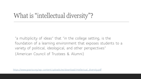"a multiplicity of ideas" that "in the college setting, is the foundation of a learning environment that exposes students to a variety of political, ideological, and other perspectives" (American Council of Trustees & Alumni)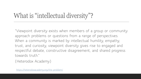"Viewpoint diversity exists when members of a group or community approach problems or questions from a range of perspectives. When a community is marked by intellectual humility, empathy, trust, and curiosity, viewpoint diversity gives rise to engaged and respectful debate, constructive disagreement, and shared progress towards truth."

(Heterodox Academy)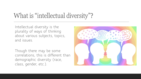Intellectual diversity is the plurality of ways of thinking about various subjects, topics, and issues.

Though there may be some correlations, this is different than demographic diversity (race, class, gender, etc.).

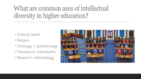# What are common axes of intellectual diversity in higher education?

- Political belief
- Religion
- ◦Ontology / epistemology
- Theoretical frameworks
- Research methodology

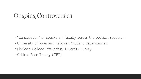# Ongoing Controversies

◦"Cancellation" of speakers / faculty across the political spectrum ◦ University of Iowa and Religious Student Organizations ◦ Florida's College Intellectual Diversity Survey ◦ Critical Race Theory (CRT)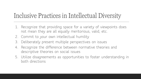# Inclusive Practices in Intellectual Diversity

- 1. Recognize that providing space for a variety of viewpoints does not mean they are all equally meritorious, valid, etc.
- 2. Commit to your own intellectual humility
- 3. Deliberately present multiple perspectives on issues
- 4. Recognize the difference between normative theories and descriptive theories on social issues
- 5. Utilize disagreements as opportunities to foster understanding in both directions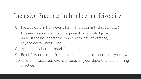# Inclusive Practices in Intellectual Diversity

- 6. Protect others from overt harm (harassment, threats, etc.)
- 7. However, recognize that the pursuit of knowledge and understanding inherently comes with risk of offense, psychological stress, etc.
- 8. Approach others in good faith
- 9. Read / listen to the "other side" as much or more than your own 10.Take an intellectual diversity audit of your department and hiring practices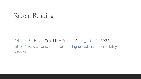## Recent Reading

"Higher Ed Has a Credibility Problem" (August 12, 2021) [https://www.chronicle.com/article/higher-ed-has-a-credibility](https://www.chronicle.com/article/higher-ed-has-a-credibility-problem)problem